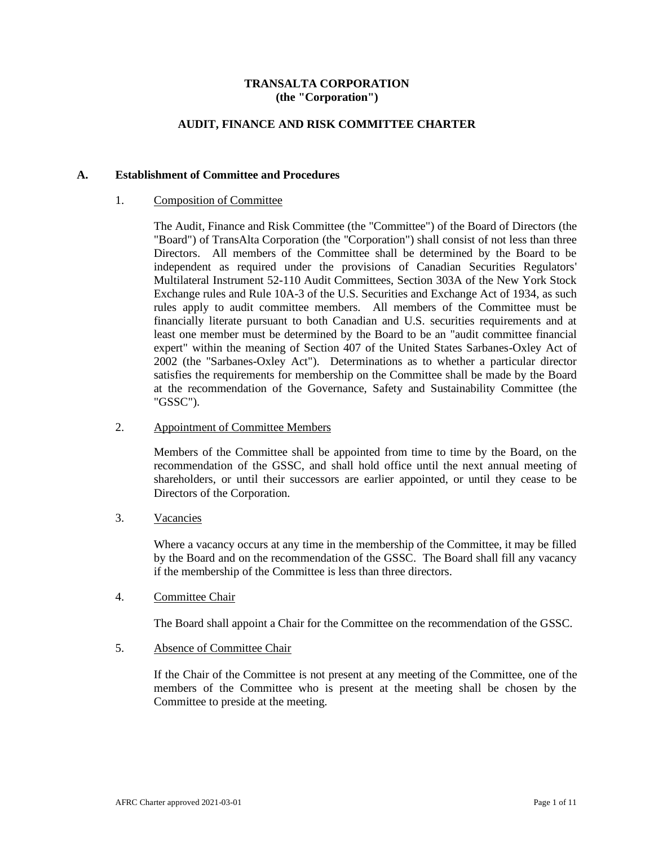## **TRANSALTA CORPORATION (the "Corporation")**

## **AUDIT, FINANCE AND RISK COMMITTEE CHARTER**

### **A. Establishment of Committee and Procedures**

### 1. Composition of Committee

The Audit, Finance and Risk Committee (the "Committee") of the Board of Directors (the "Board") of TransAlta Corporation (the "Corporation") shall consist of not less than three Directors. All members of the Committee shall be determined by the Board to be independent as required under the provisions of Canadian Securities Regulators' Multilateral Instrument 52-110 Audit Committees, Section 303A of the New York Stock Exchange rules and Rule 10A-3 of the U.S. Securities and Exchange Act of 1934, as such rules apply to audit committee members. All members of the Committee must be financially literate pursuant to both Canadian and U.S. securities requirements and at least one member must be determined by the Board to be an "audit committee financial expert" within the meaning of Section 407 of the United States Sarbanes-Oxley Act of 2002 (the "Sarbanes-Oxley Act"). Determinations as to whether a particular director satisfies the requirements for membership on the Committee shall be made by the Board at the recommendation of the Governance, Safety and Sustainability Committee (the "GSSC").

### 2. Appointment of Committee Members

Members of the Committee shall be appointed from time to time by the Board, on the recommendation of the GSSC, and shall hold office until the next annual meeting of shareholders, or until their successors are earlier appointed, or until they cease to be Directors of the Corporation.

## 3. Vacancies

Where a vacancy occurs at any time in the membership of the Committee, it may be filled by the Board and on the recommendation of the GSSC. The Board shall fill any vacancy if the membership of the Committee is less than three directors.

#### 4. Committee Chair

The Board shall appoint a Chair for the Committee on the recommendation of the GSSC.

# 5. Absence of Committee Chair

If the Chair of the Committee is not present at any meeting of the Committee, one of the members of the Committee who is present at the meeting shall be chosen by the Committee to preside at the meeting.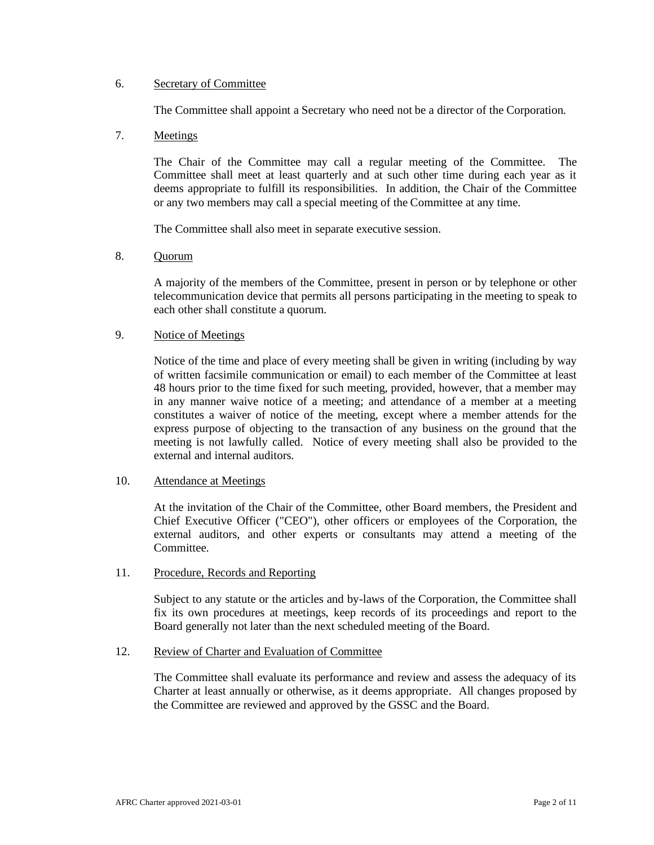## 6. Secretary of Committee

The Committee shall appoint a Secretary who need not be a director of the Corporation.

# 7. Meetings

The Chair of the Committee may call a regular meeting of the Committee. The Committee shall meet at least quarterly and at such other time during each year as it deems appropriate to fulfill its responsibilities. In addition, the Chair of the Committee or any two members may call a special meeting of the Committee at any time.

The Committee shall also meet in separate executive session.

# 8. Quorum

A majority of the members of the Committee, present in person or by telephone or other telecommunication device that permits all persons participating in the meeting to speak to each other shall constitute a quorum.

# 9. Notice of Meetings

Notice of the time and place of every meeting shall be given in writing (including by way of written facsimile communication or email) to each member of the Committee at least 48 hours prior to the time fixed for such meeting, provided, however, that a member may in any manner waive notice of a meeting; and attendance of a member at a meeting constitutes a waiver of notice of the meeting, except where a member attends for the express purpose of objecting to the transaction of any business on the ground that the meeting is not lawfully called. Notice of every meeting shall also be provided to the external and internal auditors.

#### 10. Attendance at Meetings

At the invitation of the Chair of the Committee, other Board members, the President and Chief Executive Officer ("CEO"), other officers or employees of the Corporation, the external auditors, and other experts or consultants may attend a meeting of the Committee.

#### 11. Procedure, Records and Reporting

Subject to any statute or the articles and by-laws of the Corporation, the Committee shall fix its own procedures at meetings, keep records of its proceedings and report to the Board generally not later than the next scheduled meeting of the Board.

## 12. Review of Charter and Evaluation of Committee

The Committee shall evaluate its performance and review and assess the adequacy of its Charter at least annually or otherwise, as it deems appropriate. All changes proposed by the Committee are reviewed and approved by the GSSC and the Board.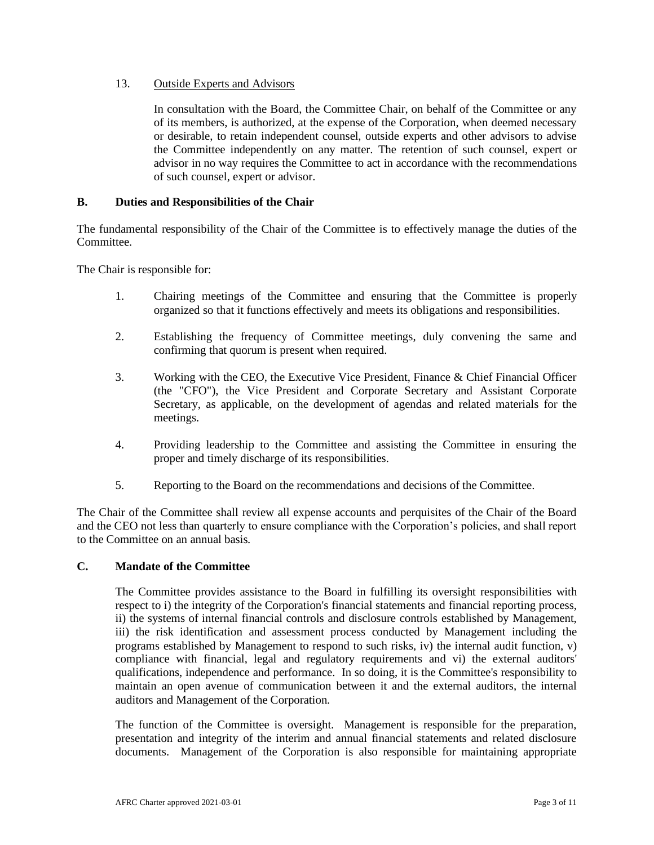# 13. Outside Experts and Advisors

In consultation with the Board, the Committee Chair, on behalf of the Committee or any of its members, is authorized, at the expense of the Corporation, when deemed necessary or desirable, to retain independent counsel, outside experts and other advisors to advise the Committee independently on any matter. The retention of such counsel, expert or advisor in no way requires the Committee to act in accordance with the recommendations of such counsel, expert or advisor.

# **B. Duties and Responsibilities of the Chair**

The fundamental responsibility of the Chair of the Committee is to effectively manage the duties of the Committee.

The Chair is responsible for:

- 1. Chairing meetings of the Committee and ensuring that the Committee is properly organized so that it functions effectively and meets its obligations and responsibilities.
- 2. Establishing the frequency of Committee meetings, duly convening the same and confirming that quorum is present when required.
- 3. Working with the CEO, the Executive Vice President, Finance & Chief Financial Officer (the "CFO"), the Vice President and Corporate Secretary and Assistant Corporate Secretary, as applicable, on the development of agendas and related materials for the meetings.
- 4. Providing leadership to the Committee and assisting the Committee in ensuring the proper and timely discharge of its responsibilities.
- 5. Reporting to the Board on the recommendations and decisions of the Committee.

The Chair of the Committee shall review all expense accounts and perquisites of the Chair of the Board and the CEO not less than quarterly to ensure compliance with the Corporation's policies, and shall report to the Committee on an annual basis*.*

## **C. Mandate of the Committee**

The Committee provides assistance to the Board in fulfilling its oversight responsibilities with respect to i) the integrity of the Corporation's financial statements and financial reporting process, ii) the systems of internal financial controls and disclosure controls established by Management, iii) the risk identification and assessment process conducted by Management including the programs established by Management to respond to such risks, iv) the internal audit function,  $v$ ) compliance with financial, legal and regulatory requirements and vi) the external auditors' qualifications, independence and performance. In so doing, it is the Committee's responsibility to maintain an open avenue of communication between it and the external auditors, the internal auditors and Management of the Corporation.

The function of the Committee is oversight. Management is responsible for the preparation, presentation and integrity of the interim and annual financial statements and related disclosure documents. Management of the Corporation is also responsible for maintaining appropriate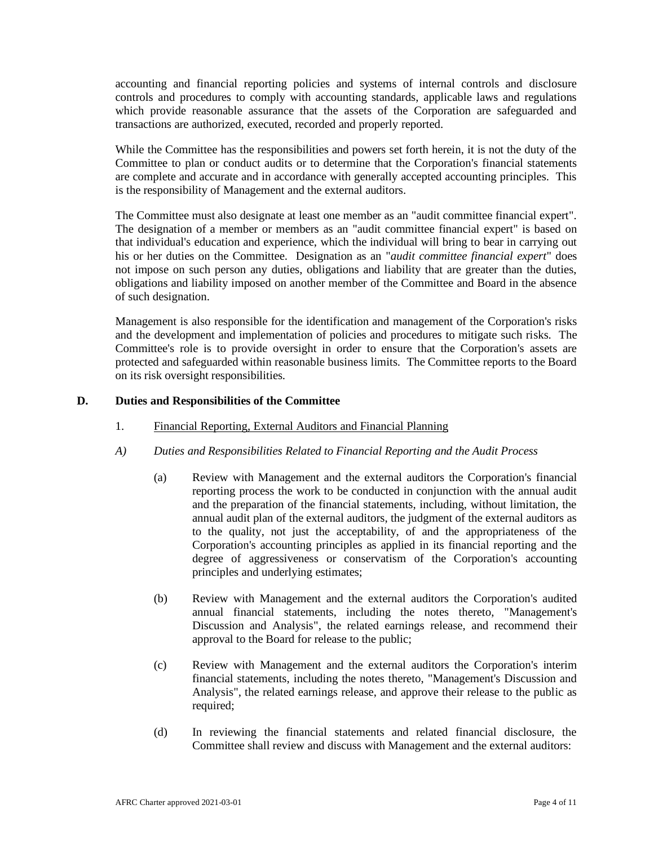accounting and financial reporting policies and systems of internal controls and disclosure controls and procedures to comply with accounting standards, applicable laws and regulations which provide reasonable assurance that the assets of the Corporation are safeguarded and transactions are authorized, executed, recorded and properly reported.

While the Committee has the responsibilities and powers set forth herein, it is not the duty of the Committee to plan or conduct audits or to determine that the Corporation's financial statements are complete and accurate and in accordance with generally accepted accounting principles. This is the responsibility of Management and the external auditors.

The Committee must also designate at least one member as an "audit committee financial expert". The designation of a member or members as an "audit committee financial expert" is based on that individual's education and experience, which the individual will bring to bear in carrying out his or her duties on the Committee. Designation as an "*audit committee financial expert*" does not impose on such person any duties, obligations and liability that are greater than the duties, obligations and liability imposed on another member of the Committee and Board in the absence of such designation.

Management is also responsible for the identification and management of the Corporation's risks and the development and implementation of policies and procedures to mitigate such risks. The Committee's role is to provide oversight in order to ensure that the Corporation's assets are protected and safeguarded within reasonable business limits. The Committee reports to the Board on its risk oversight responsibilities.

## **D. Duties and Responsibilities of the Committee**

- 1. Financial Reporting, External Auditors and Financial Planning
- *A) Duties and Responsibilities Related to Financial Reporting and the Audit Process*
	- (a) Review with Management and the external auditors the Corporation's financial reporting process the work to be conducted in conjunction with the annual audit and the preparation of the financial statements, including, without limitation, the annual audit plan of the external auditors, the judgment of the external auditors as to the quality, not just the acceptability, of and the appropriateness of the Corporation's accounting principles as applied in its financial reporting and the degree of aggressiveness or conservatism of the Corporation's accounting principles and underlying estimates;
	- (b) Review with Management and the external auditors the Corporation's audited annual financial statements, including the notes thereto, "Management's Discussion and Analysis", the related earnings release, and recommend their approval to the Board for release to the public;
	- (c) Review with Management and the external auditors the Corporation's interim financial statements, including the notes thereto, "Management's Discussion and Analysis", the related earnings release, and approve their release to the public as required:
	- (d) In reviewing the financial statements and related financial disclosure, the Committee shall review and discuss with Management and the external auditors: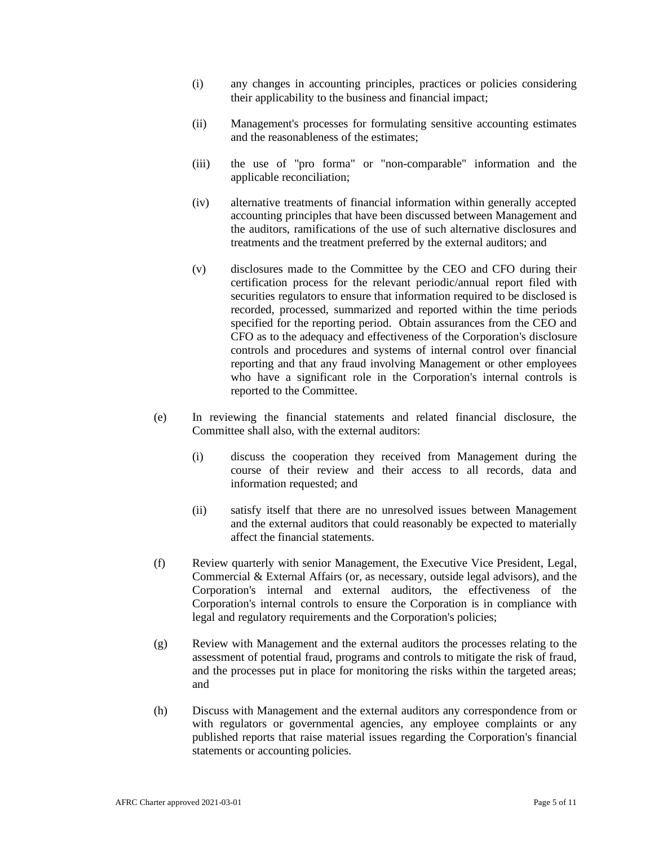- (i) any changes in accounting principles, practices or policies considering their applicability to the business and financial impact;
- (ii) Management's processes for formulating sensitive accounting estimates and the reasonableness of the estimates;
- (iii) the use of "pro forma" or "non-comparable" information and the applicable reconciliation;
- (iv) alternative treatments of financial information within generally accepted accounting principles that have been discussed between Management and the auditors, ramifications of the use of such alternative disclosures and treatments and the treatment preferred by the external auditors; and
- (v) disclosures made to the Committee by the CEO and CFO during their certification process for the relevant periodic/annual report filed with securities regulators to ensure that information required to be disclosed is recorded, processed, summarized and reported within the time periods specified for the reporting period. Obtain assurances from the CEO and CFO as to the adequacy and effectiveness of the Corporation's disclosure controls and procedures and systems of internal control over financial reporting and that any fraud involving Management or other employees who have a significant role in the Corporation's internal controls is reported to the Committee.
- (e) In reviewing the financial statements and related financial disclosure, the Committee shall also, with the external auditors:
	- (i) discuss the cooperation they received from Management during the course of their review and their access to all records, data and information requested; and
	- (ii) satisfy itself that there are no unresolved issues between Management and the external auditors that could reasonably be expected to materially affect the financial statements.
- (f) Review quarterly with senior Management, the Executive Vice President, Legal, Commercial & External Affairs (or, as necessary, outside legal advisors), and the Corporation's internal and external auditors, the effectiveness of the Corporation's internal controls to ensure the Corporation is in compliance with legal and regulatory requirements and the Corporation's policies;
- (g) Review with Management and the external auditors the processes relating to the assessment of potential fraud, programs and controls to mitigate the risk of fraud, and the processes put in place for monitoring the risks within the targeted areas; and
- (h) Discuss with Management and the external auditors any correspondence from or with regulators or governmental agencies, any employee complaints or any published reports that raise material issues regarding the Corporation's financial statements or accounting policies.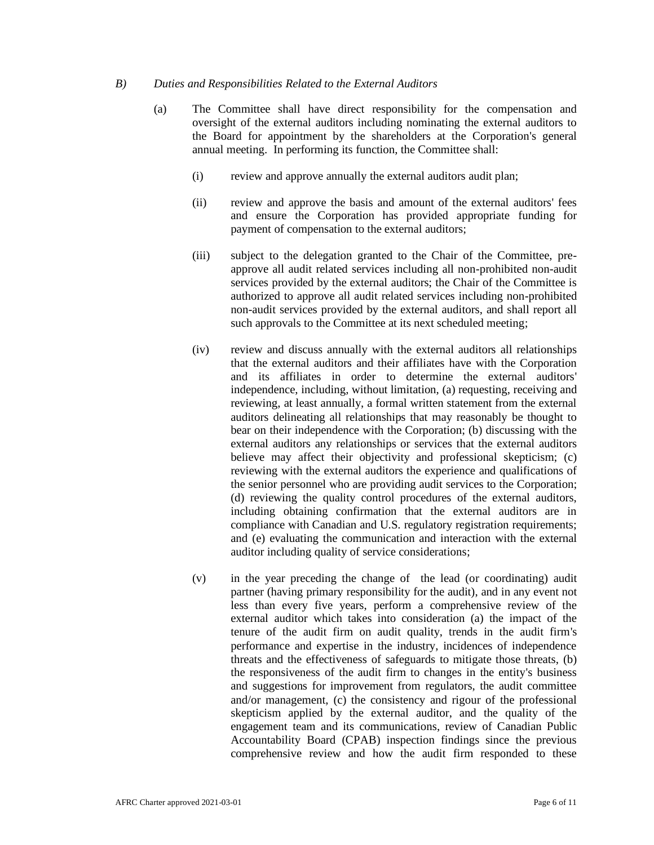## *B) Duties and Responsibilities Related to the External Auditors*

- (a) The Committee shall have direct responsibility for the compensation and oversight of the external auditors including nominating the external auditors to the Board for appointment by the shareholders at the Corporation's general annual meeting. In performing its function, the Committee shall:
	- (i) review and approve annually the external auditors audit plan;
	- (ii) review and approve the basis and amount of the external auditors' fees and ensure the Corporation has provided appropriate funding for payment of compensation to the external auditors;
	- (iii) subject to the delegation granted to the Chair of the Committee, preapprove all audit related services including all non-prohibited non-audit services provided by the external auditors; the Chair of the Committee is authorized to approve all audit related services including non-prohibited non-audit services provided by the external auditors, and shall report all such approvals to the Committee at its next scheduled meeting;
	- (iv) review and discuss annually with the external auditors all relationships that the external auditors and their affiliates have with the Corporation and its affiliates in order to determine the external auditors' independence, including, without limitation, (a) requesting, receiving and reviewing, at least annually, a formal written statement from the external auditors delineating all relationships that may reasonably be thought to bear on their independence with the Corporation; (b) discussing with the external auditors any relationships or services that the external auditors believe may affect their objectivity and professional skepticism; (c) reviewing with the external auditors the experience and qualifications of the senior personnel who are providing audit services to the Corporation; (d) reviewing the quality control procedures of the external auditors, including obtaining confirmation that the external auditors are in compliance with Canadian and U.S. regulatory registration requirements; and (e) evaluating the communication and interaction with the external auditor including quality of service considerations;
	- (v) in the year preceding the change of the lead (or coordinating) audit partner (having primary responsibility for the audit), and in any event not less than every five years, perform a comprehensive review of the external auditor which takes into consideration (a) the impact of the tenure of the audit firm on audit quality, trends in the audit firm's performance and expertise in the industry, incidences of independence threats and the effectiveness of safeguards to mitigate those threats, (b) the responsiveness of the audit firm to changes in the entity's business and suggestions for improvement from regulators, the audit committee and/or management, (c) the consistency and rigour of the professional skepticism applied by the external auditor, and the quality of the engagement team and its communications, review of Canadian Public Accountability Board (CPAB) inspection findings since the previous comprehensive review and how the audit firm responded to these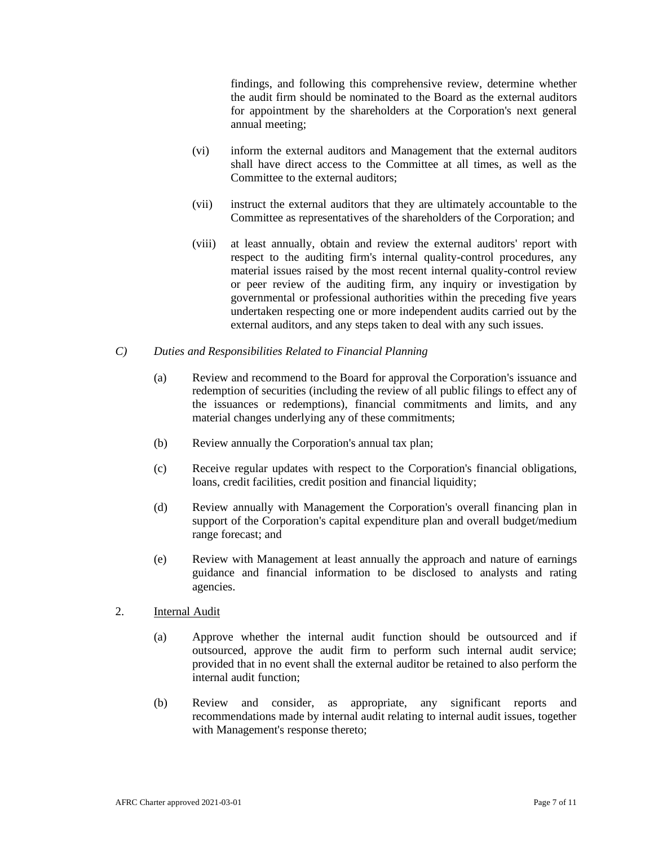findings, and following this comprehensive review, determine whether the audit firm should be nominated to the Board as the external auditors for appointment by the shareholders at the Corporation's next general annual meeting;

- (vi) inform the external auditors and Management that the external auditors shall have direct access to the Committee at all times, as well as the Committee to the external auditors;
- (vii) instruct the external auditors that they are ultimately accountable to the Committee as representatives of the shareholders of the Corporation; and
- (viii) at least annually, obtain and review the external auditors' report with respect to the auditing firm's internal quality-control procedures, any material issues raised by the most recent internal quality-control review or peer review of the auditing firm, any inquiry or investigation by governmental or professional authorities within the preceding five years undertaken respecting one or more independent audits carried out by the external auditors, and any steps taken to deal with any such issues.
- *C) Duties and Responsibilities Related to Financial Planning*
	- (a) Review and recommend to the Board for approval the Corporation's issuance and redemption of securities (including the review of all public filings to effect any of the issuances or redemptions), financial commitments and limits, and any material changes underlying any of these commitments;
	- (b) Review annually the Corporation's annual tax plan;
	- (c) Receive regular updates with respect to the Corporation's financial obligations, loans, credit facilities, credit position and financial liquidity;
	- (d) Review annually with Management the Corporation's overall financing plan in support of the Corporation's capital expenditure plan and overall budget/medium range forecast; and
	- (e) Review with Management at least annually the approach and nature of earnings guidance and financial information to be disclosed to analysts and rating agencies.
- 2. Internal Audit
	- (a) Approve whether the internal audit function should be outsourced and if outsourced, approve the audit firm to perform such internal audit service; provided that in no event shall the external auditor be retained to also perform the internal audit function;
	- (b) Review and consider, as appropriate, any significant reports and recommendations made by internal audit relating to internal audit issues, together with Management's response thereto;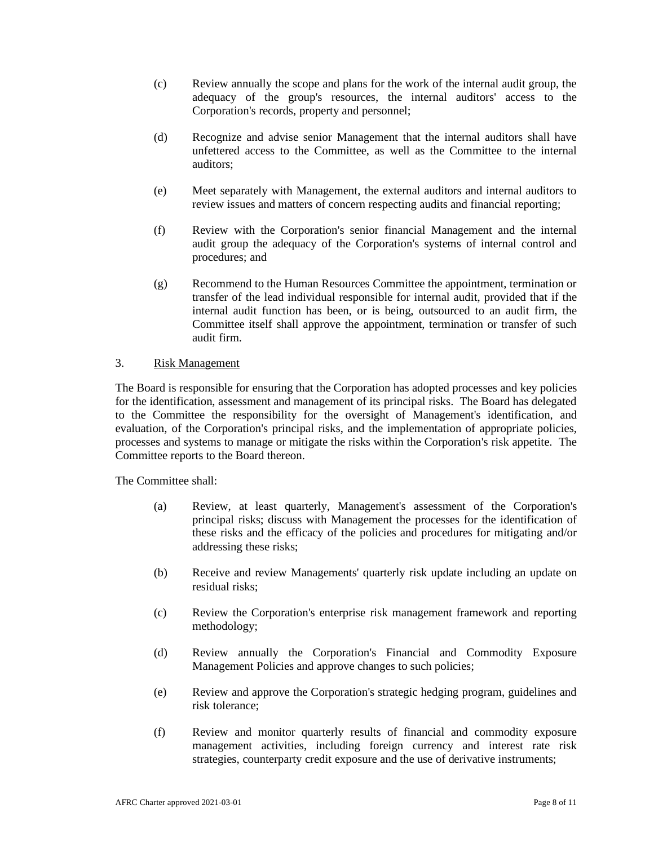- (c) Review annually the scope and plans for the work of the internal audit group, the adequacy of the group's resources, the internal auditors' access to the Corporation's records, property and personnel;
- (d) Recognize and advise senior Management that the internal auditors shall have unfettered access to the Committee, as well as the Committee to the internal auditors;
- (e) Meet separately with Management, the external auditors and internal auditors to review issues and matters of concern respecting audits and financial reporting;
- (f) Review with the Corporation's senior financial Management and the internal audit group the adequacy of the Corporation's systems of internal control and procedures; and
- (g) Recommend to the Human Resources Committee the appointment, termination or transfer of the lead individual responsible for internal audit, provided that if the internal audit function has been, or is being, outsourced to an audit firm, the Committee itself shall approve the appointment, termination or transfer of such audit firm.

## 3. Risk Management

The Board is responsible for ensuring that the Corporation has adopted processes and key policies for the identification, assessment and management of its principal risks. The Board has delegated to the Committee the responsibility for the oversight of Management's identification, and evaluation, of the Corporation's principal risks, and the implementation of appropriate policies, processes and systems to manage or mitigate the risks within the Corporation's risk appetite. The Committee reports to the Board thereon.

The Committee shall:

- (a) Review, at least quarterly, Management's assessment of the Corporation's principal risks; discuss with Management the processes for the identification of these risks and the efficacy of the policies and procedures for mitigating and/or addressing these risks;
- (b) Receive and review Managements' quarterly risk update including an update on residual risks;
- (c) Review the Corporation's enterprise risk management framework and reporting methodology;
- (d) Review annually the Corporation's Financial and Commodity Exposure Management Policies and approve changes to such policies;
- (e) Review and approve the Corporation's strategic hedging program, guidelines and risk tolerance;
- (f) Review and monitor quarterly results of financial and commodity exposure management activities, including foreign currency and interest rate risk strategies, counterparty credit exposure and the use of derivative instruments;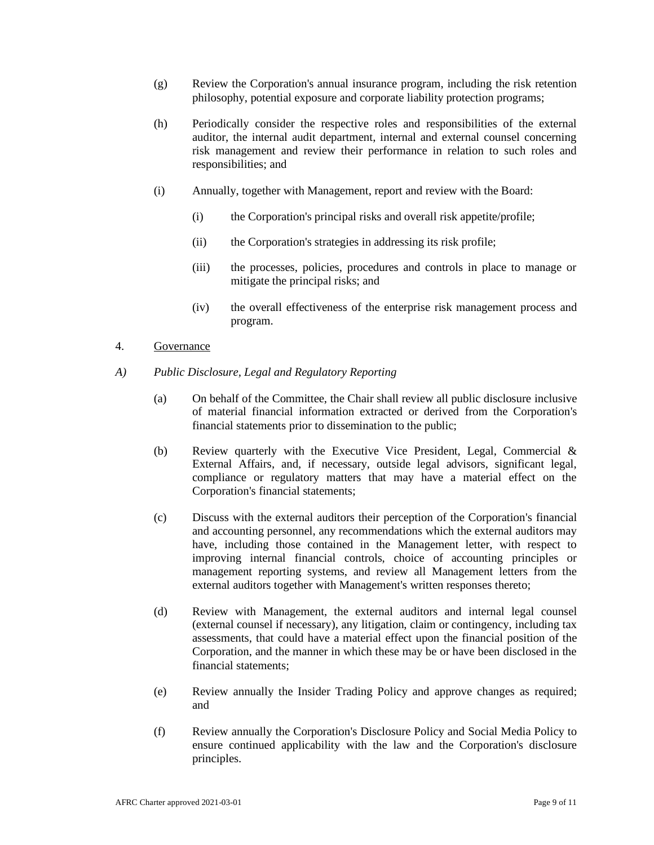- (g) Review the Corporation's annual insurance program, including the risk retention philosophy, potential exposure and corporate liability protection programs;
- (h) Periodically consider the respective roles and responsibilities of the external auditor, the internal audit department, internal and external counsel concerning risk management and review their performance in relation to such roles and responsibilities; and
- (i) Annually, together with Management, report and review with the Board:
	- (i) the Corporation's principal risks and overall risk appetite/profile;
	- (ii) the Corporation's strategies in addressing its risk profile;
	- (iii) the processes, policies, procedures and controls in place to manage or mitigate the principal risks; and
	- (iv) the overall effectiveness of the enterprise risk management process and program.

## 4. Governance

- *A) Public Disclosure, Legal and Regulatory Reporting*
	- (a) On behalf of the Committee, the Chair shall review all public disclosure inclusive of material financial information extracted or derived from the Corporation's financial statements prior to dissemination to the public;
	- (b) Review quarterly with the Executive Vice President, Legal, Commercial & External Affairs, and, if necessary, outside legal advisors, significant legal, compliance or regulatory matters that may have a material effect on the Corporation's financial statements;
	- (c) Discuss with the external auditors their perception of the Corporation's financial and accounting personnel, any recommendations which the external auditors may have, including those contained in the Management letter, with respect to improving internal financial controls, choice of accounting principles or management reporting systems, and review all Management letters from the external auditors together with Management's written responses thereto;
	- (d) Review with Management, the external auditors and internal legal counsel (external counsel if necessary), any litigation, claim or contingency, including tax assessments, that could have a material effect upon the financial position of the Corporation, and the manner in which these may be or have been disclosed in the financial statements;
	- (e) Review annually the Insider Trading Policy and approve changes as required; and
	- (f) Review annually the Corporation's Disclosure Policy and Social Media Policy to ensure continued applicability with the law and the Corporation's disclosure principles.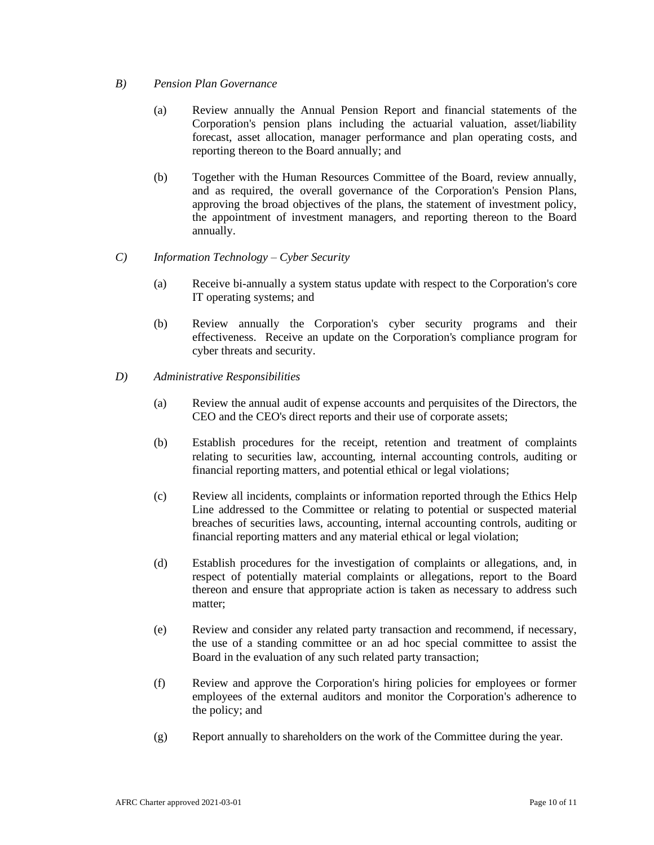## *B) Pension Plan Governance*

- (a) Review annually the Annual Pension Report and financial statements of the Corporation's pension plans including the actuarial valuation, asset/liability forecast, asset allocation, manager performance and plan operating costs, and reporting thereon to the Board annually; and
- (b) Together with the Human Resources Committee of the Board, review annually, and as required, the overall governance of the Corporation's Pension Plans, approving the broad objectives of the plans, the statement of investment policy, the appointment of investment managers, and reporting thereon to the Board annually.

## *C) Information Technology – Cyber Security*

- (a) Receive bi-annually a system status update with respect to the Corporation's core IT operating systems; and
- (b) Review annually the Corporation's cyber security programs and their effectiveness. Receive an update on the Corporation's compliance program for cyber threats and security.
- *D) Administrative Responsibilities*
	- (a) Review the annual audit of expense accounts and perquisites of the Directors, the CEO and the CEO's direct reports and their use of corporate assets;
	- (b) Establish procedures for the receipt, retention and treatment of complaints relating to securities law, accounting, internal accounting controls, auditing or financial reporting matters, and potential ethical or legal violations;
	- (c) Review all incidents, complaints or information reported through the Ethics Help Line addressed to the Committee or relating to potential or suspected material breaches of securities laws, accounting, internal accounting controls, auditing or financial reporting matters and any material ethical or legal violation;
	- (d) Establish procedures for the investigation of complaints or allegations, and, in respect of potentially material complaints or allegations, report to the Board thereon and ensure that appropriate action is taken as necessary to address such matter;
	- (e) Review and consider any related party transaction and recommend, if necessary, the use of a standing committee or an ad hoc special committee to assist the Board in the evaluation of any such related party transaction;
	- (f) Review and approve the Corporation's hiring policies for employees or former employees of the external auditors and monitor the Corporation's adherence to the policy; and
	- (g) Report annually to shareholders on the work of the Committee during the year.